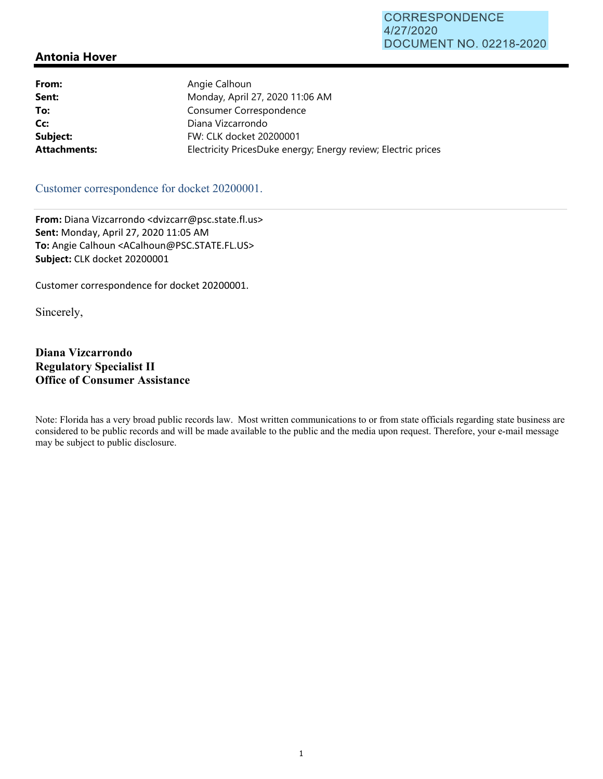| Angie Calhoun                                                 |
|---------------------------------------------------------------|
| Monday, April 27, 2020 11:06 AM                               |
| Consumer Correspondence                                       |
| Diana Vizcarrondo                                             |
| FW: CLK docket 20200001                                       |
| Electricity PricesDuke energy; Energy review; Electric prices |
|                                                               |

#### Customer correspondence for docket 20200001.

**From:** Diana Vizcarrondo <dvizcarr@psc.state.fl.us> **Sent:** Monday, April 27, 2020 11:05 AM **To:** Angie Calhoun <ACalhoun@PSC.STATE.FL.US> **Subject:** CLK docket 20200001

Customer correspondence for docket 20200001.

Sincerely,

### **Diana Vizcarrondo Regulatory Specialist II Office of Consumer Assistance**

Note: Florida has a very broad public records law. Most written communications to or from state officials regarding state business are considered to be public records and will be made available to the public and the media upon request. Therefore, your e-mail message may be subject to public disclosure.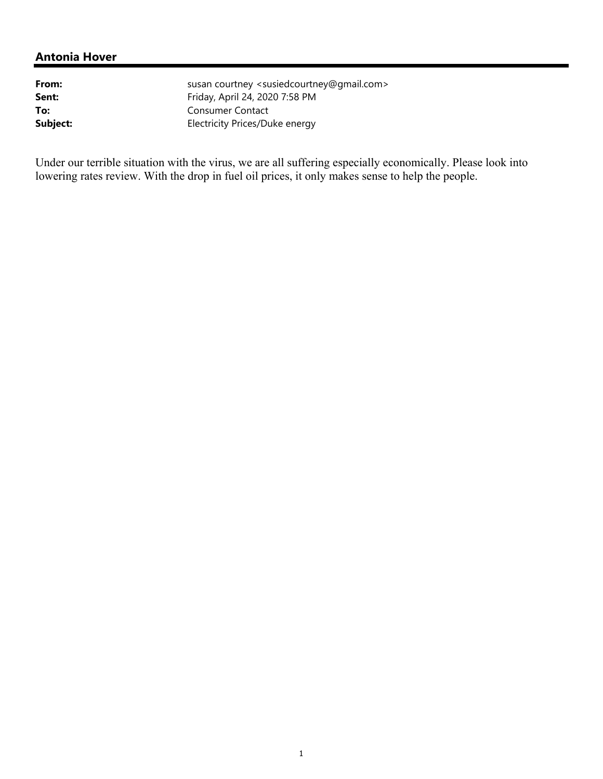| From:    | susan courtney <susiedcourtney@gmail.com></susiedcourtney@gmail.com> |
|----------|----------------------------------------------------------------------|
| Sent:    | Friday, April 24, 2020 7:58 PM                                       |
| To:      | Consumer Contact                                                     |
| Subject: | Electricity Prices/Duke energy                                       |

Under our terrible situation with the virus, we are all suffering especially economically. Please look into lowering rates review. With the drop in fuel oil prices, it only makes sense to help the people.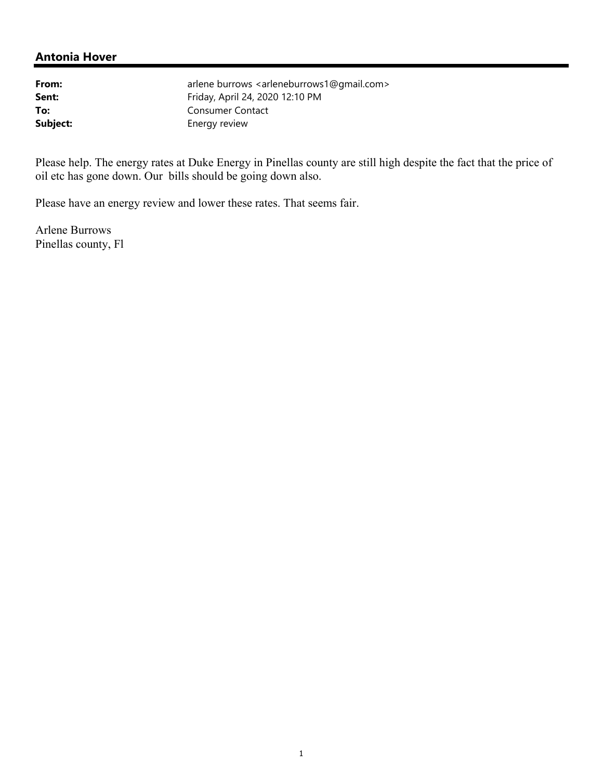| From:    |
|----------|
| Sent:    |
| To:      |
| Subject: |

arlene burrows <arleneburrows1@gmail.com> **Sent:** Friday, April 24, 2020 12:10 PM **To:** Consumer Contact **Energy review** 

Please help. The energy rates at Duke Energy in Pinellas county are still high despite the fact that the price of oil etc has gone down. Our bills should be going down also.

Please have an energy review and lower these rates. That seems fair.

Arlene Burrows Pinellas county, Fl